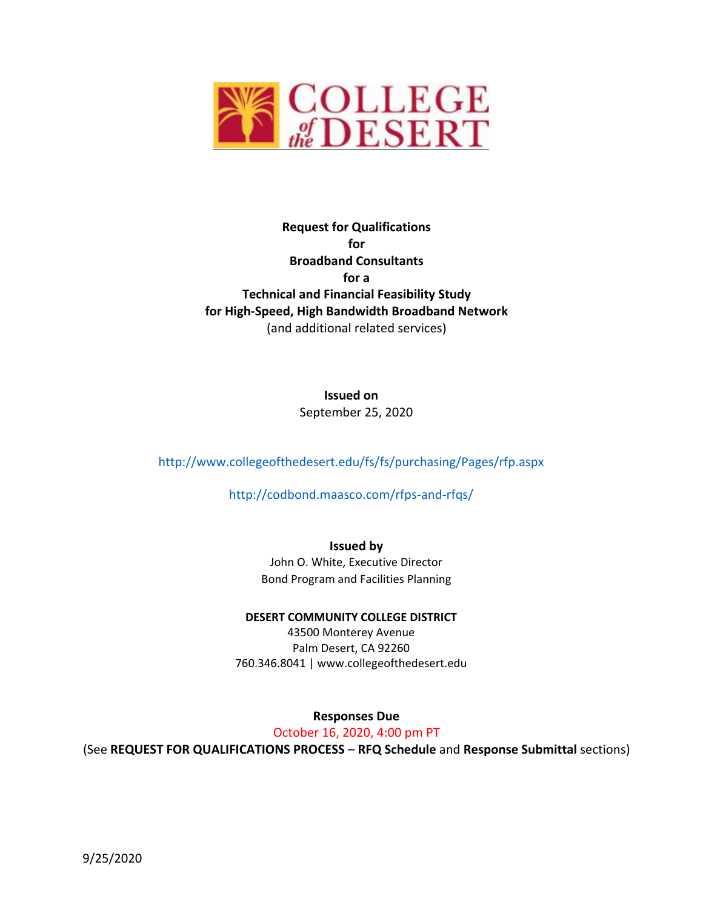

## **Request for Qualifications for Broadband Consultants for a Technical and Financial Feasibility Study for High‐Speed, High Bandwidth Broadband Network** (and additional related services)

**Issued on** September 25, 2020

http://www.collegeofthedesert.edu/fs/fs/purchasing/Pages/rfp.aspx

http://codbond.maasco.com/rfps‐and‐rfqs/

**Issued by**

John O. White, Executive Director Bond Program and Facilities Planning

**DESERT COMMUNITY COLLEGE DISTRICT**

43500 Monterey Avenue Palm Desert, CA 92260 760.346.8041 | www.collegeofthedesert.edu

**Responses Due**

October 16, 2020, 4:00 pm PT

(See **REQUEST FOR QUALIFICATIONS PROCESS** – **RFQ Schedule** and **Response Submittal** sections)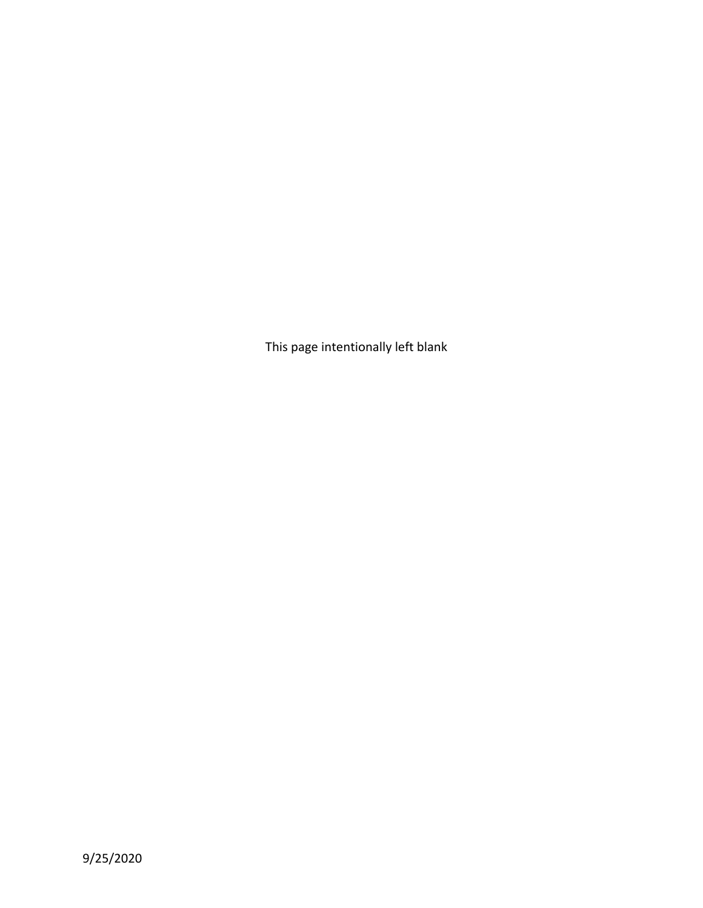This page intentionally left blank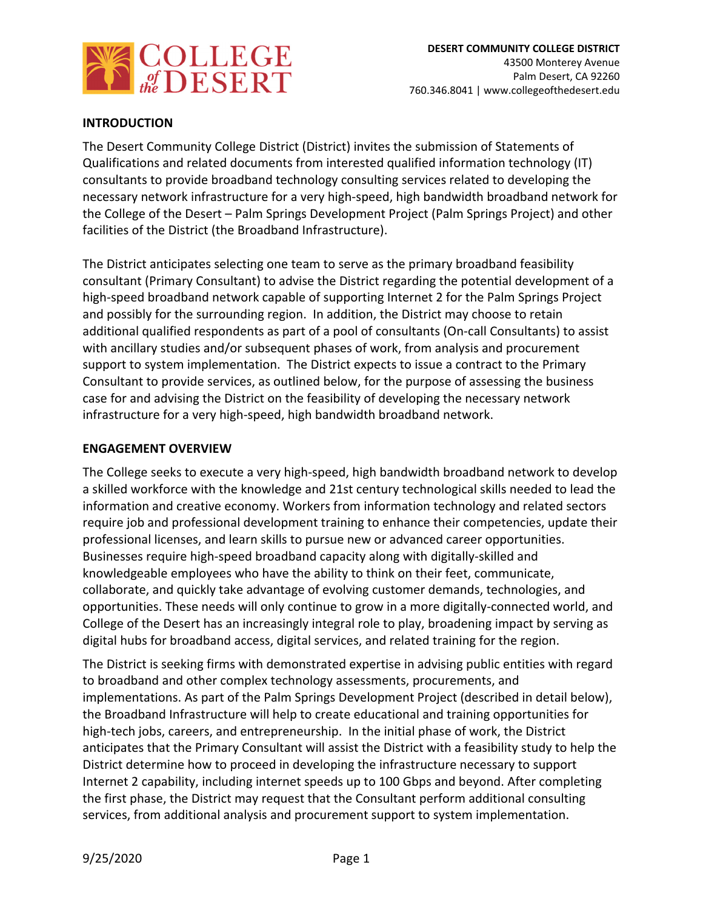

## **INTRODUCTION**

The Desert Community College District (District) invites the submission of Statements of Qualifications and related documents from interested qualified information technology (IT) consultants to provide broadband technology consulting services related to developing the necessary network infrastructure for a very high‐speed, high bandwidth broadband network for the College of the Desert – Palm Springs Development Project (Palm Springs Project) and other facilities of the District (the Broadband Infrastructure).

The District anticipates selecting one team to serve as the primary broadband feasibility consultant (Primary Consultant) to advise the District regarding the potential development of a high-speed broadband network capable of supporting Internet 2 for the Palm Springs Project and possibly for the surrounding region. In addition, the District may choose to retain additional qualified respondents as part of a pool of consultants (On‐call Consultants) to assist with ancillary studies and/or subsequent phases of work, from analysis and procurement support to system implementation. The District expects to issue a contract to the Primary Consultant to provide services, as outlined below, for the purpose of assessing the business case for and advising the District on the feasibility of developing the necessary network infrastructure for a very high‐speed, high bandwidth broadband network.

### **ENGAGEMENT OVERVIEW**

The College seeks to execute a very high‐speed, high bandwidth broadband network to develop a skilled workforce with the knowledge and 21st century technological skills needed to lead the information and creative economy. Workers from information technology and related sectors require job and professional development training to enhance their competencies, update their professional licenses, and learn skills to pursue new or advanced career opportunities. Businesses require high‐speed broadband capacity along with digitally‐skilled and knowledgeable employees who have the ability to think on their feet, communicate, collaborate, and quickly take advantage of evolving customer demands, technologies, and opportunities. These needs will only continue to grow in a more digitally‐connected world, and College of the Desert has an increasingly integral role to play, broadening impact by serving as digital hubs for broadband access, digital services, and related training for the region.

The District is seeking firms with demonstrated expertise in advising public entities with regard to broadband and other complex technology assessments, procurements, and implementations. As part of the Palm Springs Development Project (described in detail below), the Broadband Infrastructure will help to create educational and training opportunities for high-tech jobs, careers, and entrepreneurship. In the initial phase of work, the District anticipates that the Primary Consultant will assist the District with a feasibility study to help the District determine how to proceed in developing the infrastructure necessary to support Internet 2 capability, including internet speeds up to 100 Gbps and beyond. After completing the first phase, the District may request that the Consultant perform additional consulting services, from additional analysis and procurement support to system implementation.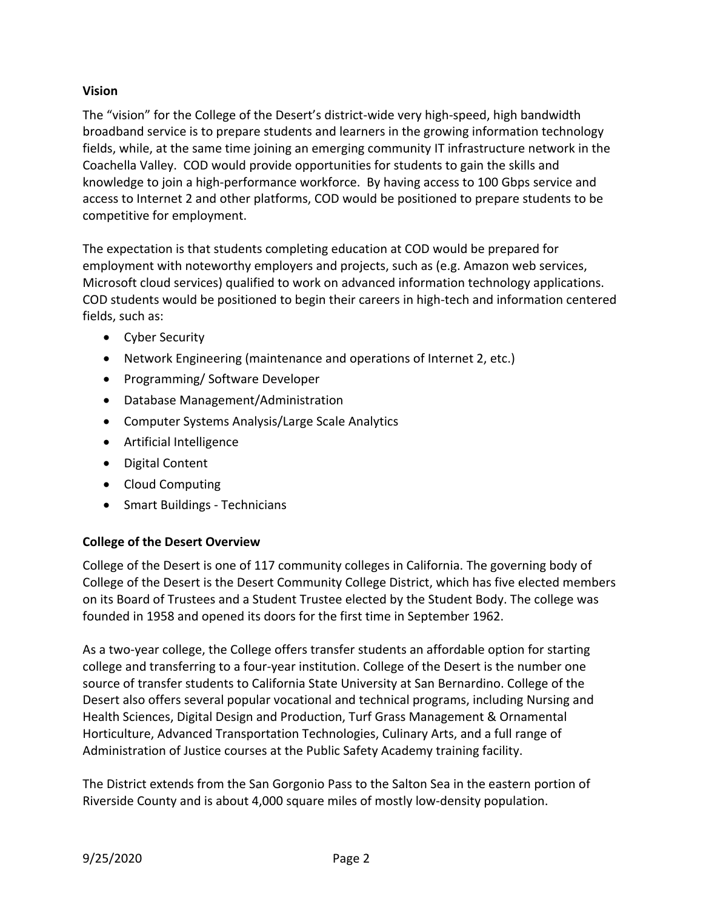## **Vision**

The "vision" for the College of the Desert's district‐wide very high‐speed, high bandwidth broadband service is to prepare students and learners in the growing information technology fields, while, at the same time joining an emerging community IT infrastructure network in the Coachella Valley. COD would provide opportunities for students to gain the skills and knowledge to join a high‐performance workforce. By having access to 100 Gbps service and access to Internet 2 and other platforms, COD would be positioned to prepare students to be competitive for employment.

The expectation is that students completing education at COD would be prepared for employment with noteworthy employers and projects, such as (e.g. Amazon web services, Microsoft cloud services) qualified to work on advanced information technology applications. COD students would be positioned to begin their careers in high‐tech and information centered fields, such as:

- Cyber Security
- Network Engineering (maintenance and operations of Internet 2, etc.)
- Programming/ Software Developer
- Database Management/Administration
- Computer Systems Analysis/Large Scale Analytics
- Artificial Intelligence
- Digital Content
- Cloud Computing
- Smart Buildings Technicians

## **College of the Desert Overview**

College of the Desert is one of 117 community colleges in California. The governing body of College of the Desert is the Desert Community College District, which has five elected members on its Board of Trustees and a Student Trustee elected by the Student Body. The college was founded in 1958 and opened its doors for the first time in September 1962.

As a two-year college, the College offers transfer students an affordable option for starting college and transferring to a four‐year institution. College of the Desert is the number one source of transfer students to California State University at San Bernardino. College of the Desert also offers several popular vocational and technical programs, including Nursing and Health Sciences, Digital Design and Production, Turf Grass Management & Ornamental Horticulture, Advanced Transportation Technologies, Culinary Arts, and a full range of Administration of Justice courses at the Public Safety Academy training facility.

The District extends from the San Gorgonio Pass to the Salton Sea in the eastern portion of Riverside County and is about 4,000 square miles of mostly low‐density population.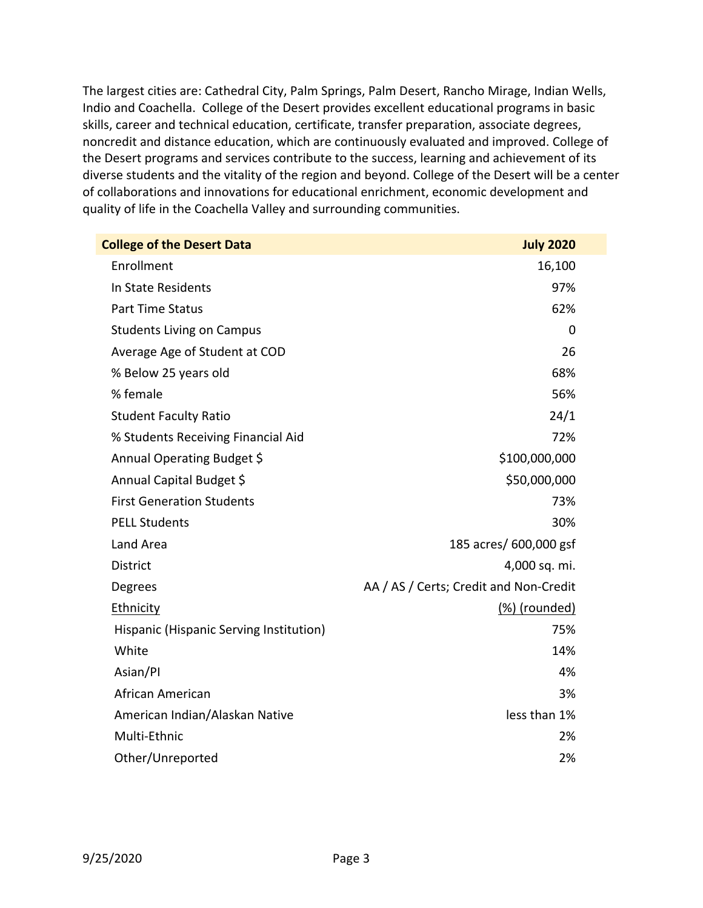The largest cities are: Cathedral City, Palm Springs, Palm Desert, Rancho Mirage, Indian Wells, Indio and Coachella. College of the Desert provides excellent educational programs in basic skills, career and technical education, certificate, transfer preparation, associate degrees, noncredit and distance education, which are continuously evaluated and improved. College of the Desert programs and services contribute to the success, learning and achievement of its diverse students and the vitality of the region and beyond. College of the Desert will be a center of collaborations and innovations for educational enrichment, economic development and quality of life in the Coachella Valley and surrounding communities.

| <b>College of the Desert Data</b>       | <b>July 2020</b>                       |
|-----------------------------------------|----------------------------------------|
| Enrollment                              | 16,100                                 |
| In State Residents                      | 97%                                    |
| <b>Part Time Status</b>                 | 62%                                    |
| <b>Students Living on Campus</b>        | 0                                      |
| Average Age of Student at COD           | 26                                     |
| % Below 25 years old                    | 68%                                    |
| % female                                | 56%                                    |
| <b>Student Faculty Ratio</b>            | 24/1                                   |
| % Students Receiving Financial Aid      | 72%                                    |
| Annual Operating Budget \$              | \$100,000,000                          |
| Annual Capital Budget \$                | \$50,000,000                           |
| <b>First Generation Students</b>        | 73%                                    |
| <b>PELL Students</b>                    | 30%                                    |
| Land Area                               | 185 acres/ 600,000 gsf                 |
| <b>District</b>                         | 4,000 sq. mi.                          |
| Degrees                                 | AA / AS / Certs; Credit and Non-Credit |
| <b>Ethnicity</b>                        | (%) (rounded)                          |
| Hispanic (Hispanic Serving Institution) | 75%                                    |
| White                                   | 14%                                    |
| Asian/Pl                                | 4%                                     |
| African American                        | 3%                                     |
| American Indian/Alaskan Native          | less than 1%                           |
| Multi-Ethnic                            | 2%                                     |
| Other/Unreported                        | 2%                                     |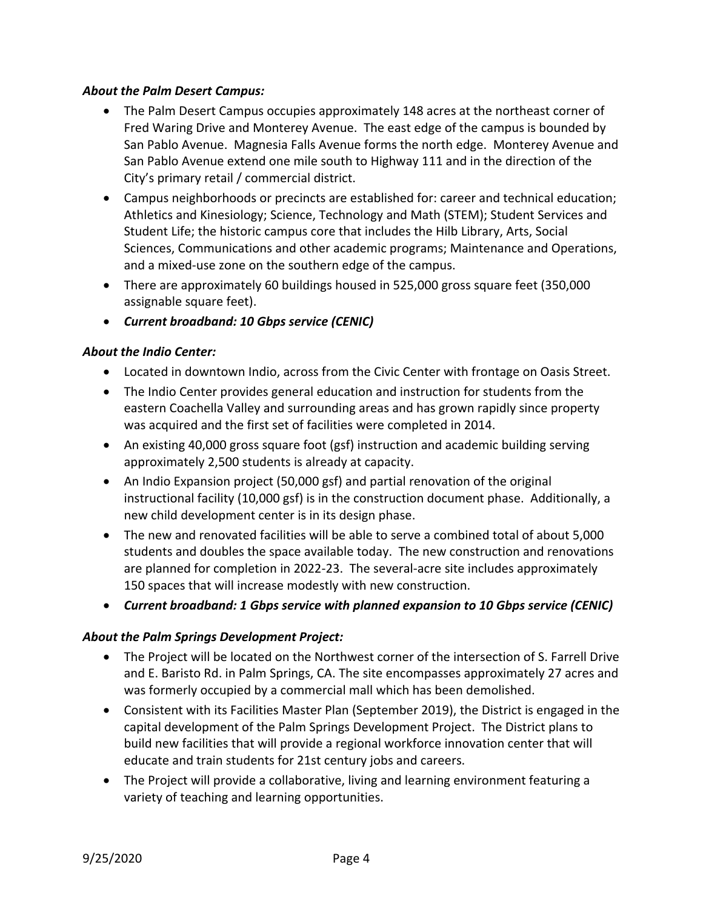## *About the Palm Desert Campus:*

- The Palm Desert Campus occupies approximately 148 acres at the northeast corner of Fred Waring Drive and Monterey Avenue. The east edge of the campus is bounded by San Pablo Avenue. Magnesia Falls Avenue forms the north edge. Monterey Avenue and San Pablo Avenue extend one mile south to Highway 111 and in the direction of the City's primary retail / commercial district.
- Campus neighborhoods or precincts are established for: career and technical education; Athletics and Kinesiology; Science, Technology and Math (STEM); Student Services and Student Life; the historic campus core that includes the Hilb Library, Arts, Social Sciences, Communications and other academic programs; Maintenance and Operations, and a mixed‐use zone on the southern edge of the campus.
- There are approximately 60 buildings housed in 525,000 gross square feet (350,000 assignable square feet).
- *Current broadband: 10 Gbps service (CENIC)*

## *About the Indio Center:*

- Located in downtown Indio, across from the Civic Center with frontage on Oasis Street.
- The Indio Center provides general education and instruction for students from the eastern Coachella Valley and surrounding areas and has grown rapidly since property was acquired and the first set of facilities were completed in 2014.
- An existing 40,000 gross square foot (gsf) instruction and academic building serving approximately 2,500 students is already at capacity.
- An Indio Expansion project (50,000 gsf) and partial renovation of the original instructional facility (10,000 gsf) is in the construction document phase. Additionally, a new child development center is in its design phase.
- The new and renovated facilities will be able to serve a combined total of about 5,000 students and doubles the space available today. The new construction and renovations are planned for completion in 2022‐23. The several‐acre site includes approximately 150 spaces that will increase modestly with new construction.
- *Current broadband: 1 Gbps service with planned expansion to 10 Gbps service (CENIC)*

## *About the Palm Springs Development Project:*

- The Project will be located on the Northwest corner of the intersection of S. Farrell Drive and E. Baristo Rd. in Palm Springs, CA. The site encompasses approximately 27 acres and was formerly occupied by a commercial mall which has been demolished.
- Consistent with its Facilities Master Plan (September 2019), the District is engaged in the capital development of the Palm Springs Development Project. The District plans to build new facilities that will provide a regional workforce innovation center that will educate and train students for 21st century jobs and careers.
- The Project will provide a collaborative, living and learning environment featuring a variety of teaching and learning opportunities.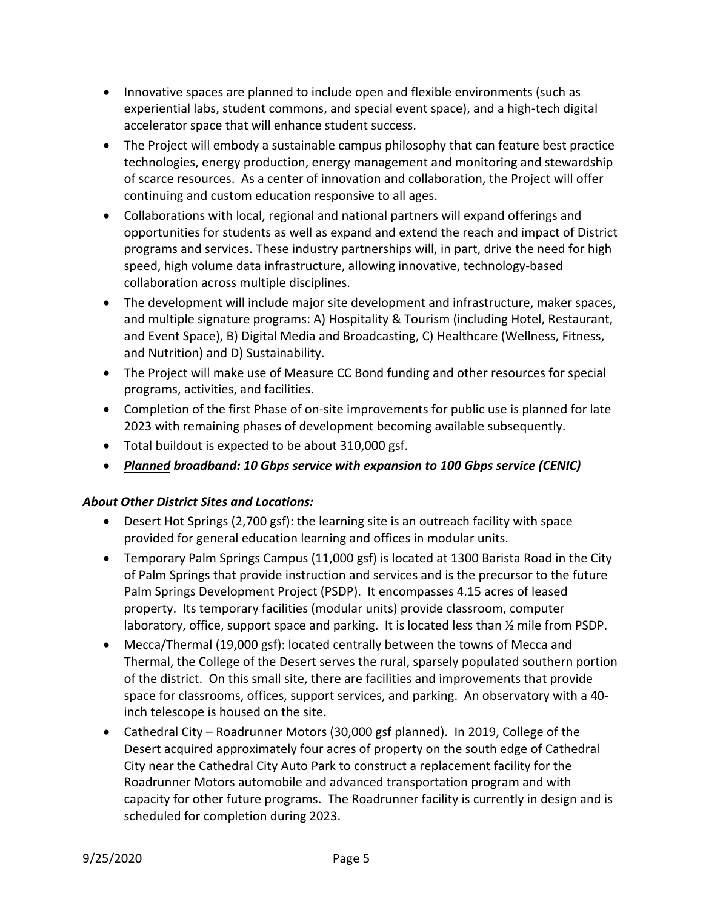- Innovative spaces are planned to include open and flexible environments (such as experiential labs, student commons, and special event space), and a high‐tech digital accelerator space that will enhance student success.
- The Project will embody a sustainable campus philosophy that can feature best practice technologies, energy production, energy management and monitoring and stewardship of scarce resources. As a center of innovation and collaboration, the Project will offer continuing and custom education responsive to all ages.
- Collaborations with local, regional and national partners will expand offerings and opportunities for students as well as expand and extend the reach and impact of District programs and services. These industry partnerships will, in part, drive the need for high speed, high volume data infrastructure, allowing innovative, technology‐based collaboration across multiple disciplines.
- The development will include major site development and infrastructure, maker spaces, and multiple signature programs: A) Hospitality & Tourism (including Hotel, Restaurant, and Event Space), B) Digital Media and Broadcasting, C) Healthcare (Wellness, Fitness, and Nutrition) and D) Sustainability.
- The Project will make use of Measure CC Bond funding and other resources for special programs, activities, and facilities.
- Completion of the first Phase of on-site improvements for public use is planned for late 2023 with remaining phases of development becoming available subsequently.
- Total buildout is expected to be about 310,000 gsf.
- *Planned broadband: 10 Gbps service with expansion to 100 Gbps service (CENIC)*

## *About Other District Sites and Locations:*

- Desert Hot Springs (2,700 gsf): the learning site is an outreach facility with space provided for general education learning and offices in modular units.
- Temporary Palm Springs Campus (11,000 gsf) is located at 1300 Barista Road in the City of Palm Springs that provide instruction and services and is the precursor to the future Palm Springs Development Project (PSDP). It encompasses 4.15 acres of leased property. Its temporary facilities (modular units) provide classroom, computer laboratory, office, support space and parking. It is located less than ½ mile from PSDP.
- Mecca/Thermal (19,000 gsf): located centrally between the towns of Mecca and Thermal, the College of the Desert serves the rural, sparsely populated southern portion of the district. On this small site, there are facilities and improvements that provide space for classrooms, offices, support services, and parking. An observatory with a 40‐ inch telescope is housed on the site.
- Cathedral City Roadrunner Motors (30,000 gsf planned). In 2019, College of the Desert acquired approximately four acres of property on the south edge of Cathedral City near the Cathedral City Auto Park to construct a replacement facility for the Roadrunner Motors automobile and advanced transportation program and with capacity for other future programs. The Roadrunner facility is currently in design and is scheduled for completion during 2023.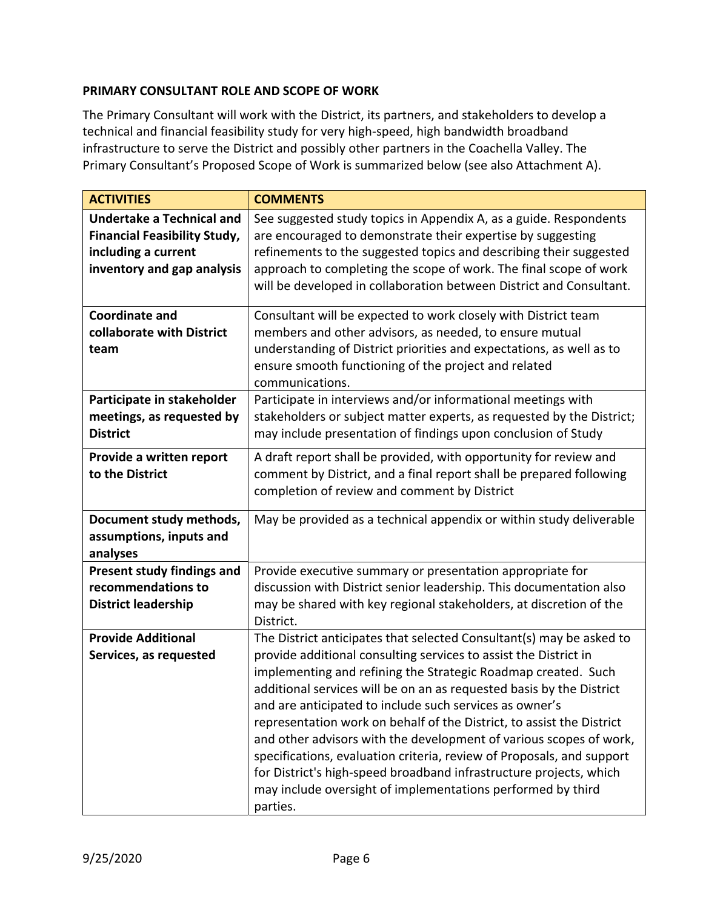## **PRIMARY CONSULTANT ROLE AND SCOPE OF WORK**

The Primary Consultant will work with the District, its partners, and stakeholders to develop a technical and financial feasibility study for very high‐speed, high bandwidth broadband infrastructure to serve the District and possibly other partners in the Coachella Valley. The Primary Consultant's Proposed Scope of Work is summarized below (see also Attachment A).

| <b>ACTIVITIES</b>                                                                                                            | <b>COMMENTS</b>                                                                                                                                                                                                                                                                                                                                                                                                                                                                                                                                                                                                                                                                                                       |
|------------------------------------------------------------------------------------------------------------------------------|-----------------------------------------------------------------------------------------------------------------------------------------------------------------------------------------------------------------------------------------------------------------------------------------------------------------------------------------------------------------------------------------------------------------------------------------------------------------------------------------------------------------------------------------------------------------------------------------------------------------------------------------------------------------------------------------------------------------------|
| <b>Undertake a Technical and</b><br><b>Financial Feasibility Study,</b><br>including a current<br>inventory and gap analysis | See suggested study topics in Appendix A, as a guide. Respondents<br>are encouraged to demonstrate their expertise by suggesting<br>refinements to the suggested topics and describing their suggested<br>approach to completing the scope of work. The final scope of work<br>will be developed in collaboration between District and Consultant.                                                                                                                                                                                                                                                                                                                                                                    |
| <b>Coordinate and</b><br>collaborate with District<br>team                                                                   | Consultant will be expected to work closely with District team<br>members and other advisors, as needed, to ensure mutual<br>understanding of District priorities and expectations, as well as to<br>ensure smooth functioning of the project and related<br>communications.                                                                                                                                                                                                                                                                                                                                                                                                                                          |
| Participate in stakeholder<br>meetings, as requested by<br><b>District</b>                                                   | Participate in interviews and/or informational meetings with<br>stakeholders or subject matter experts, as requested by the District;<br>may include presentation of findings upon conclusion of Study                                                                                                                                                                                                                                                                                                                                                                                                                                                                                                                |
| Provide a written report<br>to the District                                                                                  | A draft report shall be provided, with opportunity for review and<br>comment by District, and a final report shall be prepared following<br>completion of review and comment by District                                                                                                                                                                                                                                                                                                                                                                                                                                                                                                                              |
| Document study methods,<br>assumptions, inputs and<br>analyses                                                               | May be provided as a technical appendix or within study deliverable                                                                                                                                                                                                                                                                                                                                                                                                                                                                                                                                                                                                                                                   |
| Present study findings and<br>recommendations to<br><b>District leadership</b>                                               | Provide executive summary or presentation appropriate for<br>discussion with District senior leadership. This documentation also<br>may be shared with key regional stakeholders, at discretion of the<br>District.                                                                                                                                                                                                                                                                                                                                                                                                                                                                                                   |
| <b>Provide Additional</b><br>Services, as requested                                                                          | The District anticipates that selected Consultant(s) may be asked to<br>provide additional consulting services to assist the District in<br>implementing and refining the Strategic Roadmap created. Such<br>additional services will be on an as requested basis by the District<br>and are anticipated to include such services as owner's<br>representation work on behalf of the District, to assist the District<br>and other advisors with the development of various scopes of work,<br>specifications, evaluation criteria, review of Proposals, and support<br>for District's high-speed broadband infrastructure projects, which<br>may include oversight of implementations performed by third<br>parties. |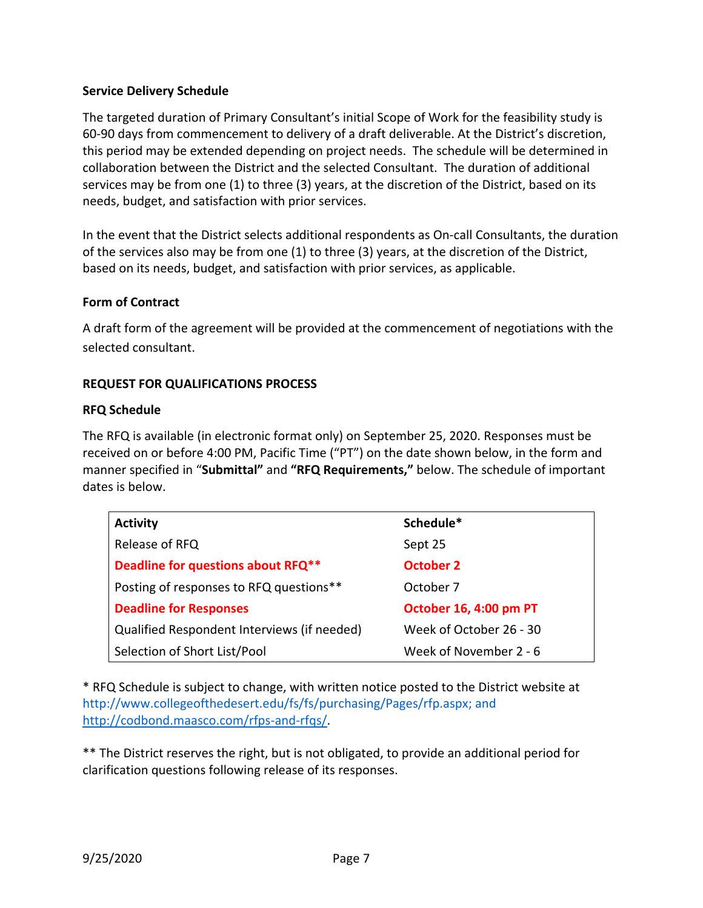## **Service Delivery Schedule**

The targeted duration of Primary Consultant's initial Scope of Work for the feasibility study is 60‐90 days from commencement to delivery of a draft deliverable. At the District's discretion, this period may be extended depending on project needs. The schedule will be determined in collaboration between the District and the selected Consultant. The duration of additional services may be from one (1) to three (3) years, at the discretion of the District, based on its needs, budget, and satisfaction with prior services.

In the event that the District selects additional respondents as On‐call Consultants, the duration of the services also may be from one (1) to three (3) years, at the discretion of the District, based on its needs, budget, and satisfaction with prior services, as applicable.

## **Form of Contract**

A draft form of the agreement will be provided at the commencement of negotiations with the selected consultant.

## **REQUEST FOR QUALIFICATIONS PROCESS**

## **RFQ Schedule**

The RFQ is available (in electronic format only) on September 25, 2020. Responses must be received on or before 4:00 PM, Pacific Time ("PT") on the date shown below, in the form and manner specified in "**Submittal"** and **"RFQ Requirements,"** below. The schedule of important dates is below.

| <b>Activity</b>                             | Schedule*               |
|---------------------------------------------|-------------------------|
| Release of RFQ                              | Sept 25                 |
| Deadline for questions about RFQ**          | October 2               |
| Posting of responses to RFQ questions**     | October 7               |
| <b>Deadline for Responses</b>               | October 16, 4:00 pm PT  |
| Qualified Respondent Interviews (if needed) | Week of October 26 - 30 |
| Selection of Short List/Pool                | Week of November 2 - 6  |

\* RFQ Schedule is subject to change, with written notice posted to the District website at http://www.collegeofthedesert.edu/fs/fs/purchasing/Pages/rfp.aspx; and http://codbond.maasco.com/rfps-and-rfqs/.

\*\* The District reserves the right, but is not obligated, to provide an additional period for clarification questions following release of its responses.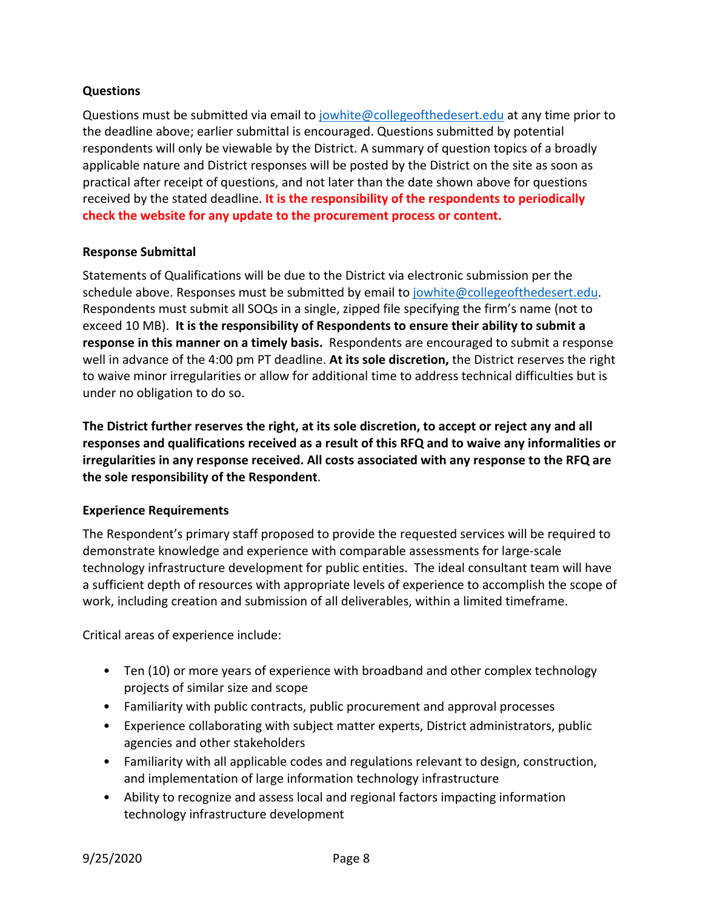## **Questions**

Questions must be submitted via email to jowhite@collegeofthedesert.edu at any time prior to the deadline above; earlier submittal is encouraged. Questions submitted by potential respondents will only be viewable by the District. A summary of question topics of a broadly applicable nature and District responses will be posted by the District on the site as soon as practical after receipt of questions, and not later than the date shown above for questions received by the stated deadline. **It is the responsibility of the respondents to periodically check the website for any update to the procurement process or content.**

## **Response Submittal**

Statements of Qualifications will be due to the District via electronic submission per the schedule above. Responses must be submitted by email to jowhite@collegeofthedesert.edu. Respondents must submit all SOQs in a single, zipped file specifying the firm's name (not to exceed 10 MB). **It is the responsibility of Respondents to ensure their ability to submit a response in this manner on a timely basis.** Respondents are encouraged to submit a response well in advance of the 4:00 pm PT deadline. **At its sole discretion,** the District reserves the right to waive minor irregularities or allow for additional time to address technical difficulties but is under no obligation to do so.

**The District further reserves the right, at its sole discretion, to accept or reject any and all responses and qualifications received as a result of this RFQ and to waive any informalities or irregularities in any response received. All costs associated with any response to the RFQ are the sole responsibility of the Respondent**.

## **Experience Requirements**

The Respondent's primary staff proposed to provide the requested services will be required to demonstrate knowledge and experience with comparable assessments for large‐scale technology infrastructure development for public entities. The ideal consultant team will have a sufficient depth of resources with appropriate levels of experience to accomplish the scope of work, including creation and submission of all deliverables, within a limited timeframe.

Critical areas of experience include:

- Ten (10) or more years of experience with broadband and other complex technology projects of similar size and scope
- Familiarity with public contracts, public procurement and approval processes
- Experience collaborating with subject matter experts, District administrators, public agencies and other stakeholders
- Familiarity with all applicable codes and regulations relevant to design, construction, and implementation of large information technology infrastructure
- Ability to recognize and assess local and regional factors impacting information technology infrastructure development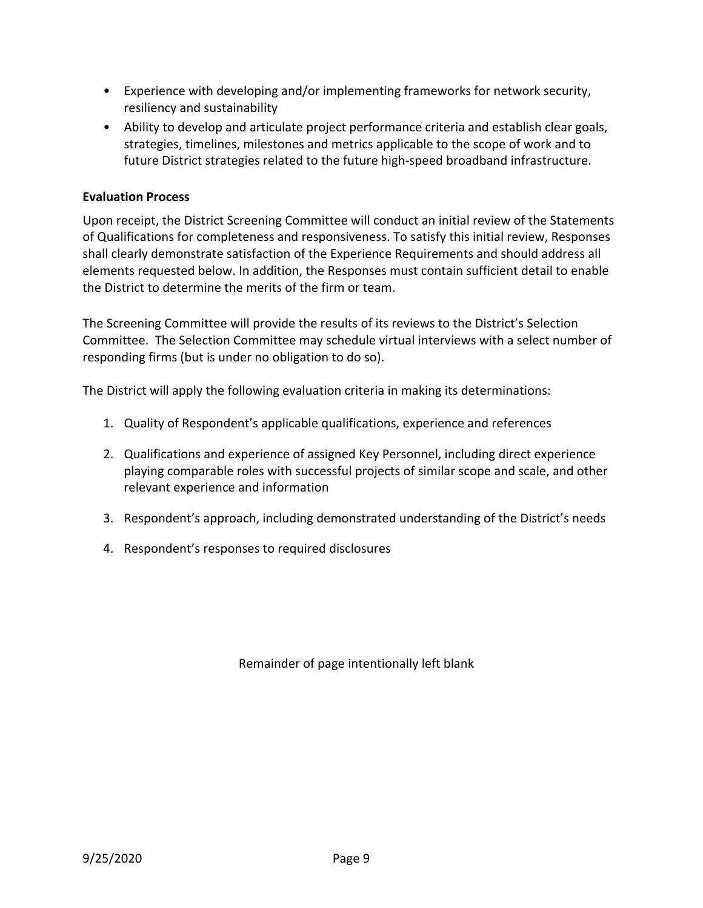- Experience with developing and/or implementing frameworks for network security, resiliency and sustainability
- Ability to develop and articulate project performance criteria and establish clear goals, strategies, timelines, milestones and metrics applicable to the scope of work and to future District strategies related to the future high-speed broadband infrastructure.

## **Evaluation Process**

Upon receipt, the District Screening Committee will conduct an initial review of the Statements of Qualifications for completeness and responsiveness. To satisfy this initial review, Responses shall clearly demonstrate satisfaction of the Experience Requirements and should address all elements requested below. In addition, the Responses must contain sufficient detail to enable the District to determine the merits of the firm or team.

The Screening Committee will provide the results of its reviews to the District's Selection Committee. The Selection Committee may schedule virtual interviews with a select number of responding firms (but is under no obligation to do so).

The District will apply the following evaluation criteria in making its determinations:

- 1. Quality of Respondent's applicable qualifications, experience and references
- 2. Qualifications and experience of assigned Key Personnel, including direct experience playing comparable roles with successful projects of similar scope and scale, and other relevant experience and information
- 3. Respondent's approach, including demonstrated understanding of the District's needs
- 4. Respondent's responses to required disclosures

Remainder of page intentionally left blank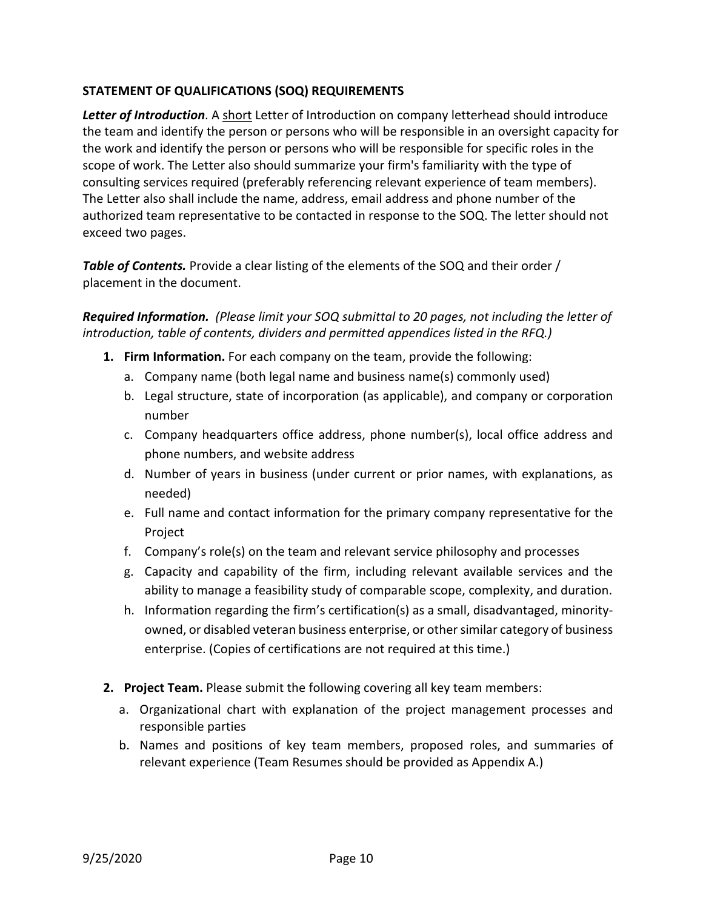## **STATEMENT OF QUALIFICATIONS (SOQ) REQUIREMENTS**

*Letter of Introduction*. A short Letter of Introduction on company letterhead should introduce the team and identify the person or persons who will be responsible in an oversight capacity for the work and identify the person or persons who will be responsible for specific roles in the scope of work. The Letter also should summarize your firm's familiarity with the type of consulting services required (preferably referencing relevant experience of team members). The Letter also shall include the name, address, email address and phone number of the authorized team representative to be contacted in response to the SOQ. The letter should not exceed two pages.

*Table of Contents.* Provide a clear listing of the elements of the SOQ and their order / placement in the document.

*Required Information. (Please limit your SOQ submittal to 20 pages, not including the letter of introduction, table of contents, dividers and permitted appendices listed in the RFQ.)*

- **1. Firm Information.** For each company on the team, provide the following:
	- a. Company name (both legal name and business name(s) commonly used)
	- b. Legal structure, state of incorporation (as applicable), and company or corporation number
	- c. Company headquarters office address, phone number(s), local office address and phone numbers, and website address
	- d. Number of years in business (under current or prior names, with explanations, as needed)
	- e. Full name and contact information for the primary company representative for the Project
	- f. Company's role(s) on the team and relevant service philosophy and processes
	- g. Capacity and capability of the firm, including relevant available services and the ability to manage a feasibility study of comparable scope, complexity, and duration.
	- h. Information regarding the firm's certification(s) as a small, disadvantaged, minority‐ owned, or disabled veteran business enterprise, or other similar category of business enterprise. (Copies of certifications are not required at this time.)
- **2. Project Team.** Please submit the following covering all key team members:
	- a. Organizational chart with explanation of the project management processes and responsible parties
	- b. Names and positions of key team members, proposed roles, and summaries of relevant experience (Team Resumes should be provided as Appendix A.)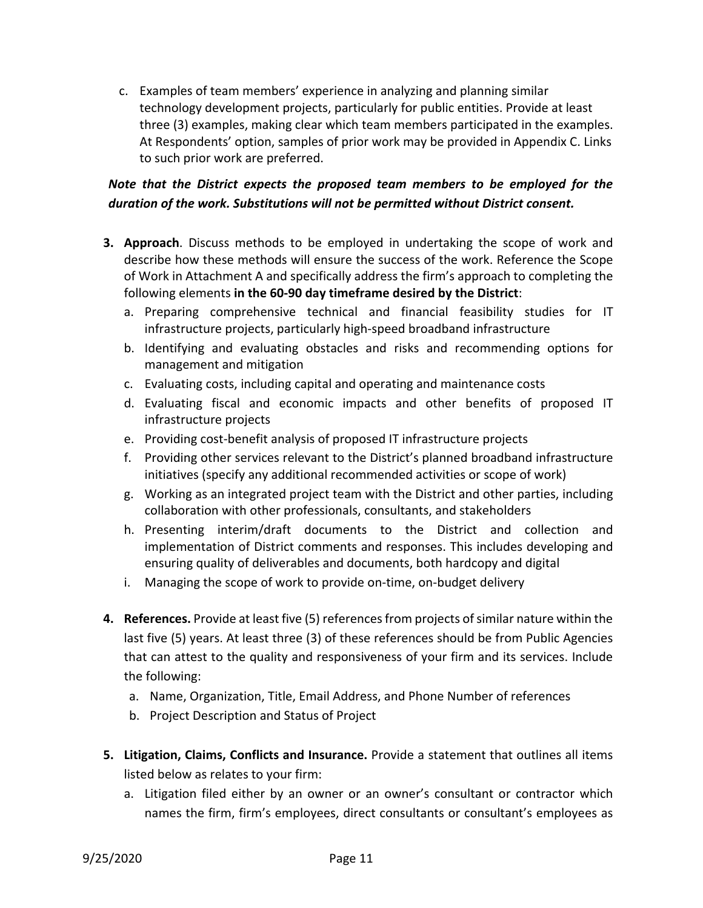c. Examples of team members' experience in analyzing and planning similar technology development projects, particularly for public entities. Provide at least three (3) examples, making clear which team members participated in the examples. At Respondents' option, samples of prior work may be provided in Appendix C. Links to such prior work are preferred.

## *Note that the District expects the proposed team members to be employed for the duration of the work. Substitutions will not be permitted without District consent.*

- **3. Approach**. Discuss methods to be employed in undertaking the scope of work and describe how these methods will ensure the success of the work. Reference the Scope of Work in Attachment A and specifically address the firm's approach to completing the following elements **in the 60‐90 day timeframe desired by the District**:
	- a. Preparing comprehensive technical and financial feasibility studies for IT infrastructure projects, particularly high‐speed broadband infrastructure
	- b. Identifying and evaluating obstacles and risks and recommending options for management and mitigation
	- c. Evaluating costs, including capital and operating and maintenance costs
	- d. Evaluating fiscal and economic impacts and other benefits of proposed IT infrastructure projects
	- e. Providing cost‐benefit analysis of proposed IT infrastructure projects
	- f. Providing other services relevant to the District's planned broadband infrastructure initiatives (specify any additional recommended activities or scope of work)
	- g. Working as an integrated project team with the District and other parties, including collaboration with other professionals, consultants, and stakeholders
	- h. Presenting interim/draft documents to the District and collection and implementation of District comments and responses. This includes developing and ensuring quality of deliverables and documents, both hardcopy and digital
	- i. Managing the scope of work to provide on-time, on-budget delivery
- **4. References.** Provide at least five (5) references from projects of similar nature within the last five (5) years. At least three (3) of these references should be from Public Agencies that can attest to the quality and responsiveness of your firm and its services. Include the following:
	- a. Name, Organization, Title, Email Address, and Phone Number of references
	- b. Project Description and Status of Project
- **5. Litigation, Claims, Conflicts and Insurance.** Provide a statement that outlines all items listed below as relates to your firm:
	- a. Litigation filed either by an owner or an owner's consultant or contractor which names the firm, firm's employees, direct consultants or consultant's employees as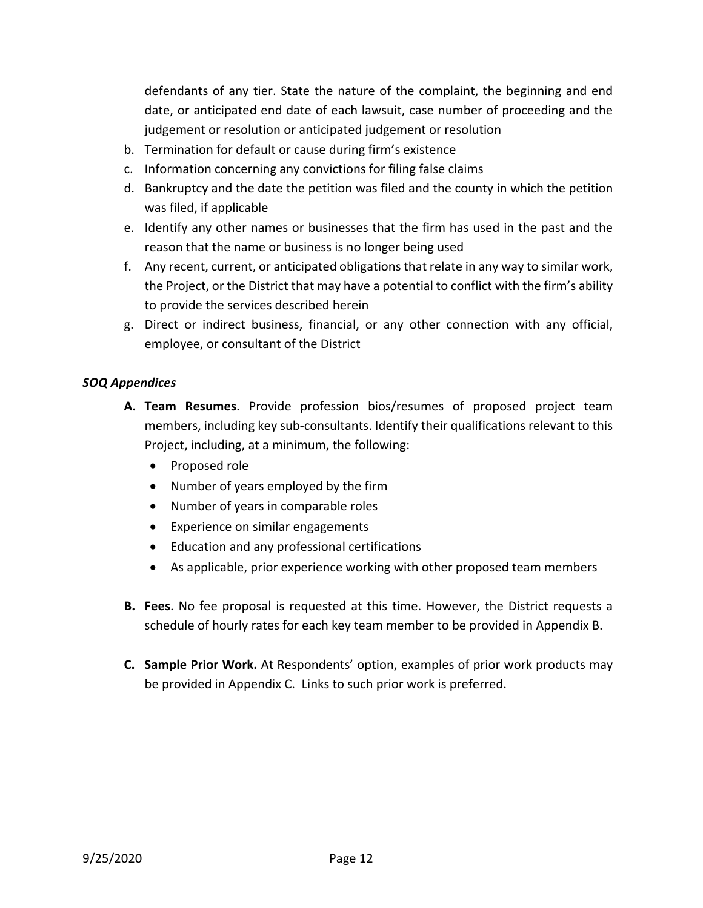defendants of any tier. State the nature of the complaint, the beginning and end date, or anticipated end date of each lawsuit, case number of proceeding and the judgement or resolution or anticipated judgement or resolution

- b. Termination for default or cause during firm's existence
- c. Information concerning any convictions for filing false claims
- d. Bankruptcy and the date the petition was filed and the county in which the petition was filed, if applicable
- e. Identify any other names or businesses that the firm has used in the past and the reason that the name or business is no longer being used
- f. Any recent, current, or anticipated obligations that relate in any way to similar work, the Project, or the District that may have a potential to conflict with the firm's ability to provide the services described herein
- g. Direct or indirect business, financial, or any other connection with any official, employee, or consultant of the District

## *SOQ Appendices*

- **A. Team Resumes**. Provide profession bios/resumes of proposed project team members, including key sub‐consultants. Identify their qualifications relevant to this Project, including, at a minimum, the following:
	- Proposed role
	- Number of years employed by the firm
	- Number of years in comparable roles
	- Experience on similar engagements
	- Education and any professional certifications
	- As applicable, prior experience working with other proposed team members
- **B. Fees**. No fee proposal is requested at this time. However, the District requests a schedule of hourly rates for each key team member to be provided in Appendix B.
- **C. Sample Prior Work.** At Respondents' option, examples of prior work products may be provided in Appendix C. Links to such prior work is preferred.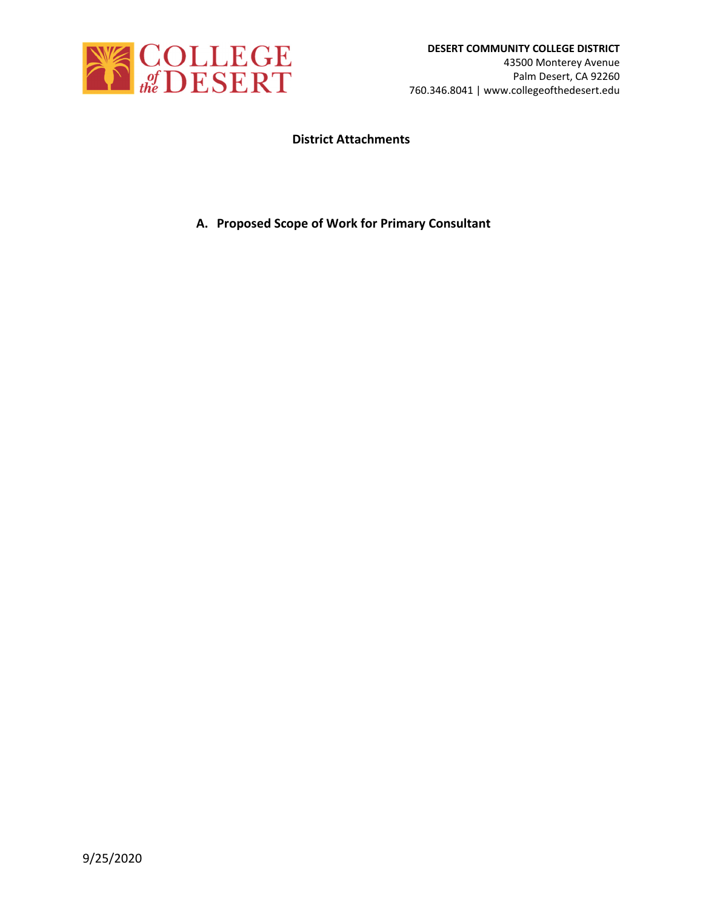

## **District Attachments**

**A. Proposed Scope of Work for Primary Consultant**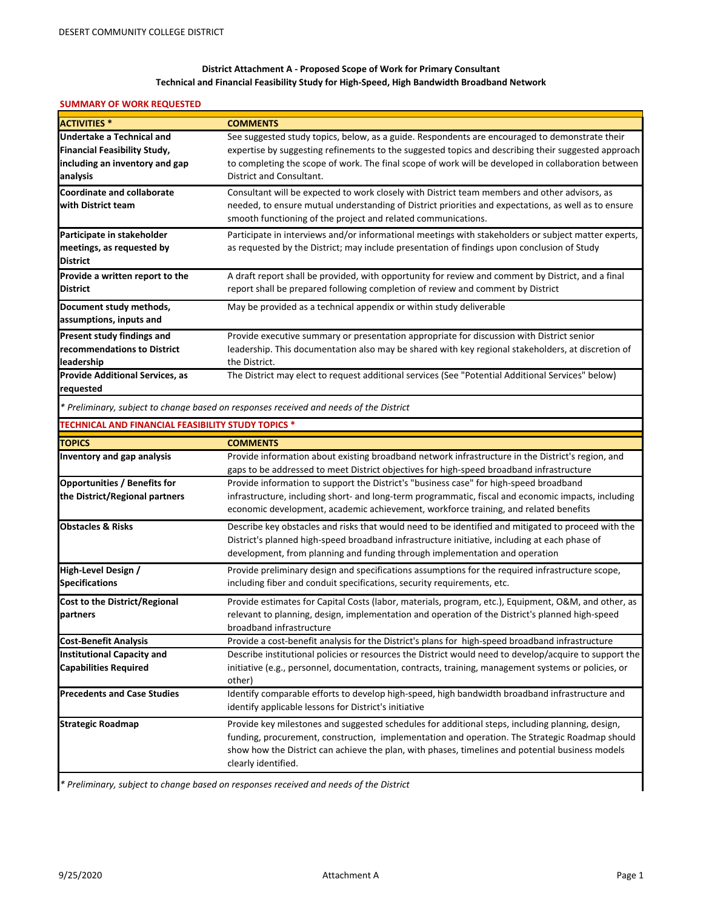#### **District Attachment A ‐ Proposed Scope of Work for Primary Consultant Technical and Financial Feasibility Study for High‐Speed, High Bandwidth Broadband Network**

### **SUMMARY OF WORK REQUESTED**

| <b>ACTIVITIES*</b>                                 | <b>COMMENTS</b>                                                                                                                                                                               |
|----------------------------------------------------|-----------------------------------------------------------------------------------------------------------------------------------------------------------------------------------------------|
| <b>Undertake a Technical and</b>                   | See suggested study topics, below, as a guide. Respondents are encouraged to demonstrate their                                                                                                |
| <b>Financial Feasibility Study,</b>                | expertise by suggesting refinements to the suggested topics and describing their suggested approach                                                                                           |
| including an inventory and gap                     | to completing the scope of work. The final scope of work will be developed in collaboration between                                                                                           |
| analysis                                           | District and Consultant.                                                                                                                                                                      |
| <b>Coordinate and collaborate</b>                  | Consultant will be expected to work closely with District team members and other advisors, as                                                                                                 |
| with District team                                 | needed, to ensure mutual understanding of District priorities and expectations, as well as to ensure                                                                                          |
|                                                    | smooth functioning of the project and related communications.                                                                                                                                 |
| Participate in stakeholder                         | Participate in interviews and/or informational meetings with stakeholders or subject matter experts,                                                                                          |
| meetings, as requested by                          | as requested by the District; may include presentation of findings upon conclusion of Study                                                                                                   |
| <b>District</b>                                    |                                                                                                                                                                                               |
| Provide a written report to the                    | A draft report shall be provided, with opportunity for review and comment by District, and a final                                                                                            |
| <b>District</b>                                    | report shall be prepared following completion of review and comment by District                                                                                                               |
| Document study methods,                            | May be provided as a technical appendix or within study deliverable                                                                                                                           |
| assumptions, inputs and                            |                                                                                                                                                                                               |
| Present study findings and                         | Provide executive summary or presentation appropriate for discussion with District senior                                                                                                     |
| recommendations to District                        | leadership. This documentation also may be shared with key regional stakeholders, at discretion of                                                                                            |
| leadership                                         | the District.                                                                                                                                                                                 |
| <b>Provide Additional Services, as</b>             | The District may elect to request additional services (See "Potential Additional Services" below)                                                                                             |
| requested                                          |                                                                                                                                                                                               |
|                                                    | * Preliminary, subject to change based on responses received and needs of the District                                                                                                        |
| TECHNICAL AND FINANCIAL FEASIBILITY STUDY TOPICS * |                                                                                                                                                                                               |
| <b>TOPICS</b>                                      | <b>COMMENTS</b>                                                                                                                                                                               |
| <b>Inventory and gap analysis</b>                  | Provide information about existing broadband network infrastructure in the District's region, and<br>gaps to be addressed to meet District objectives for high-speed broadband infrastructure |
| <b>Opportunities / Benefits for</b>                | Provide information to support the District's "business case" for high-speed broadband                                                                                                        |
| the District/Regional partners                     | infrastructure, including short- and long-term programmatic, fiscal and economic impacts, including                                                                                           |
|                                                    | economic development, academic achievement, workforce training, and related benefits                                                                                                          |
| <b>Obstacles &amp; Risks</b>                       | Describe key obstacles and risks that would need to be identified and mitigated to proceed with the                                                                                           |
|                                                    | District's planned high-speed broadband infrastructure initiative, including at each phase of                                                                                                 |
|                                                    | development, from planning and funding through implementation and operation                                                                                                                   |
| High-Level Design /                                | Provide preliminary design and specifications assumptions for the required infrastructure scope,                                                                                              |
| <b>Specifications</b>                              | including fiber and conduit specifications, security requirements, etc.                                                                                                                       |
| Cost to the District/Regional                      | Provide estimates for Capital Costs (labor, materials, program, etc.), Equipment, O&M, and other, as                                                                                          |
| partners                                           | relevant to planning, design, implementation and operation of the District's planned high-speed                                                                                               |
|                                                    | broadband infrastructure                                                                                                                                                                      |
| <b>Cost-Benefit Analysis</b>                       | Provide a cost-benefit analysis for the District's plans for high-speed broadband infrastructure                                                                                              |
| <b>Institutional Capacity and</b>                  | Describe institutional policies or resources the District would need to develop/acquire to support the                                                                                        |
| <b>Capabilities Required</b>                       | initiative (e.g., personnel, documentation, contracts, training, management systems or policies, or                                                                                           |
|                                                    | other)                                                                                                                                                                                        |
| <b>Precedents and Case Studies</b>                 | Identify comparable efforts to develop high-speed, high bandwidth broadband infrastructure and                                                                                                |
|                                                    | identify applicable lessons for District's initiative                                                                                                                                         |
| <b>Strategic Roadmap</b>                           | Provide key milestones and suggested schedules for additional steps, including planning, design,                                                                                              |
|                                                    | funding, procurement, construction, implementation and operation. The Strategic Roadmap should                                                                                                |
|                                                    | show how the District can achieve the plan, with phases, timelines and potential business models                                                                                              |
|                                                    | clearly identified.                                                                                                                                                                           |

*\* Preliminary, subject to change based on responses received and needs of the District*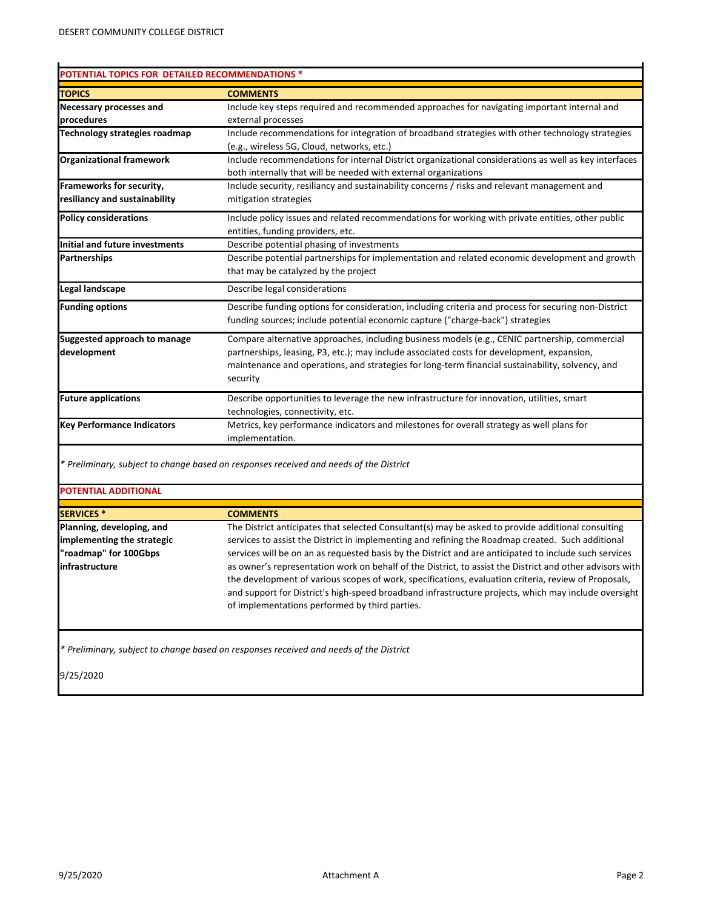# **POTENTIAL TOPICS FOR DETAILED RECOMMENDATIONS \***

| <b>TOPICS</b>                     | <b>COMMENTS</b>                                                                                       |
|-----------------------------------|-------------------------------------------------------------------------------------------------------|
| <b>Necessary processes and</b>    | Include key steps required and recommended approaches for navigating important internal and           |
| procedures                        | external processes                                                                                    |
| Technology strategies roadmap     | Include recommendations for integration of broadband strategies with other technology strategies      |
|                                   | (e.g., wireless 5G, Cloud, networks, etc.)                                                            |
| <b>Organizational framework</b>   | Include recommendations for internal District organizational considerations as well as key interfaces |
|                                   | both internally that will be needed with external organizations                                       |
| Frameworks for security,          | Include security, resiliancy and sustainability concerns / risks and relevant management and          |
| resiliancy and sustainability     | mitigation strategies                                                                                 |
| <b>Policy considerations</b>      | Include policy issues and related recommendations for working with private entities, other public     |
|                                   | entities, funding providers, etc.                                                                     |
| Initial and future investments    | Describe potential phasing of investments                                                             |
| <b>Partnerships</b>               | Describe potential partnerships for implementation and related economic development and growth        |
|                                   | that may be catalyzed by the project                                                                  |
| Legal landscape                   | Describe legal considerations                                                                         |
| <b>Funding options</b>            | Describe funding options for consideration, including criteria and process for securing non-District  |
|                                   | funding sources; include potential economic capture ("charge-back") strategies                        |
| Suggested approach to manage      | Compare alternative approaches, including business models (e.g., CENIC partnership, commercial        |
| development                       | partnerships, leasing, P3, etc.); may include associated costs for development, expansion,            |
|                                   | maintenance and operations, and strategies for long-term financial sustainability, solvency, and      |
|                                   | security                                                                                              |
| <b>Future applications</b>        | Describe opportunities to leverage the new infrastructure for innovation, utilities, smart            |
|                                   | technologies, connectivity, etc.                                                                      |
| <b>Key Performance Indicators</b> | Metrics, key performance indicators and milestones for overall strategy as well plans for             |
|                                   | implementation.                                                                                       |

*\* Preliminary, subject to change based on responses received and needs of the District*

### **POTENTIAL ADDITIONAL**

| <b>COMMENTS</b>                                                                                          |
|----------------------------------------------------------------------------------------------------------|
| The District anticipates that selected Consultant(s) may be asked to provide additional consulting       |
| services to assist the District in implementing and refining the Roadmap created. Such additional        |
| services will be on an as requested basis by the District and are anticipated to include such services   |
| as owner's representation work on behalf of the District, to assist the District and other advisors with |
| the development of various scopes of work, specifications, evaluation criteria, review of Proposals,     |
| and support for District's high-speed broadband infrastructure projects, which may include oversight     |
| of implementations performed by third parties.                                                           |
|                                                                                                          |
|                                                                                                          |

*\* Preliminary, subject to change based on responses received and needs of the District*

9/25/2020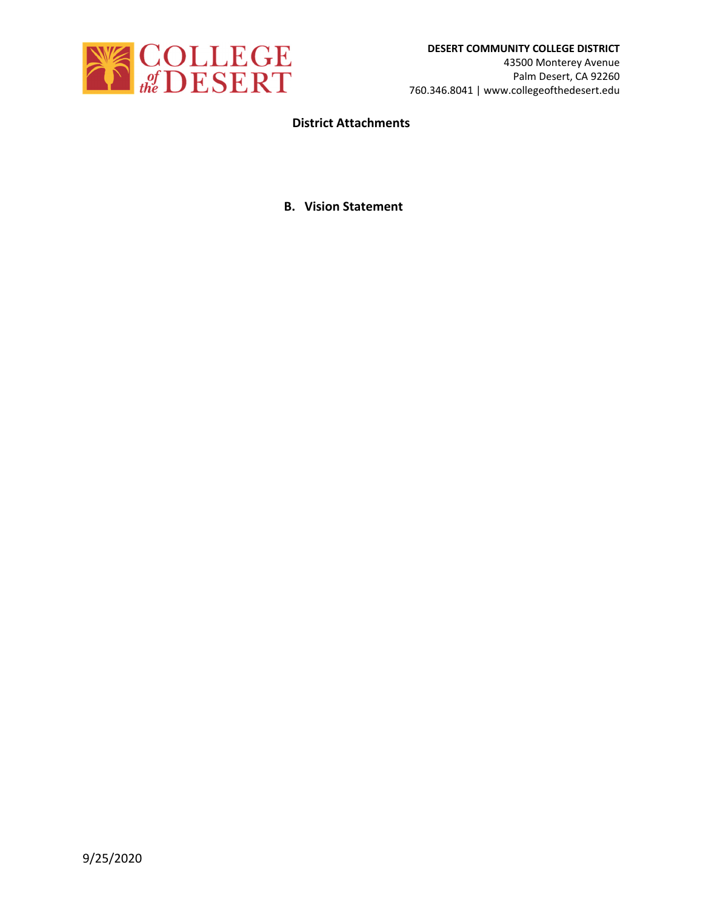

## **District Attachments**

### **B. Vision Statement**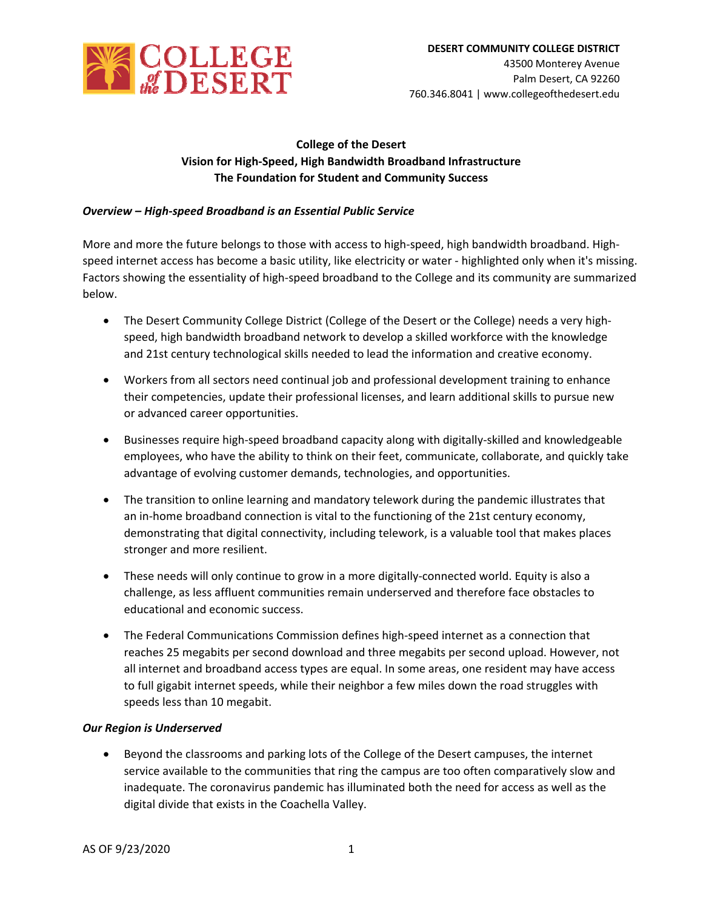

## **College of the Desert Vision for High‐Speed, High Bandwidth Broadband Infrastructure The Foundation for Student and Community Success**

### *Overview – High‐speed Broadband is an Essential Public Service*

More and more the future belongs to those with access to high-speed, high bandwidth broadband. Highspeed internet access has become a basic utility, like electricity or water ‐ highlighted only when it's missing. Factors showing the essentiality of high‐speed broadband to the College and its community are summarized below.

- The Desert Community College District (College of the Desert or the College) needs a very highspeed, high bandwidth broadband network to develop a skilled workforce with the knowledge and 21st century technological skills needed to lead the information and creative economy.
- Workers from all sectors need continual job and professional development training to enhance their competencies, update their professional licenses, and learn additional skills to pursue new or advanced career opportunities.
- Businesses require high-speed broadband capacity along with digitally-skilled and knowledgeable employees, who have the ability to think on their feet, communicate, collaborate, and quickly take advantage of evolving customer demands, technologies, and opportunities.
- The transition to online learning and mandatory telework during the pandemic illustrates that an in-home broadband connection is vital to the functioning of the 21st century economy, demonstrating that digital connectivity, including telework, is a valuable tool that makes places stronger and more resilient.
- These needs will only continue to grow in a more digitally-connected world. Equity is also a challenge, as less affluent communities remain underserved and therefore face obstacles to educational and economic success.
- The Federal Communications Commission defines high-speed internet as a connection that reaches 25 megabits per second download and three megabits per second upload. However, not all internet and broadband access types are equal. In some areas, one resident may have access to full gigabit internet speeds, while their neighbor a few miles down the road struggles with speeds less than 10 megabit.

### *Our Region is Underserved*

 Beyond the classrooms and parking lots of the College of the Desert campuses, the internet service available to the communities that ring the campus are too often comparatively slow and inadequate. The coronavirus pandemic has illuminated both the need for access as well as the digital divide that exists in the Coachella Valley.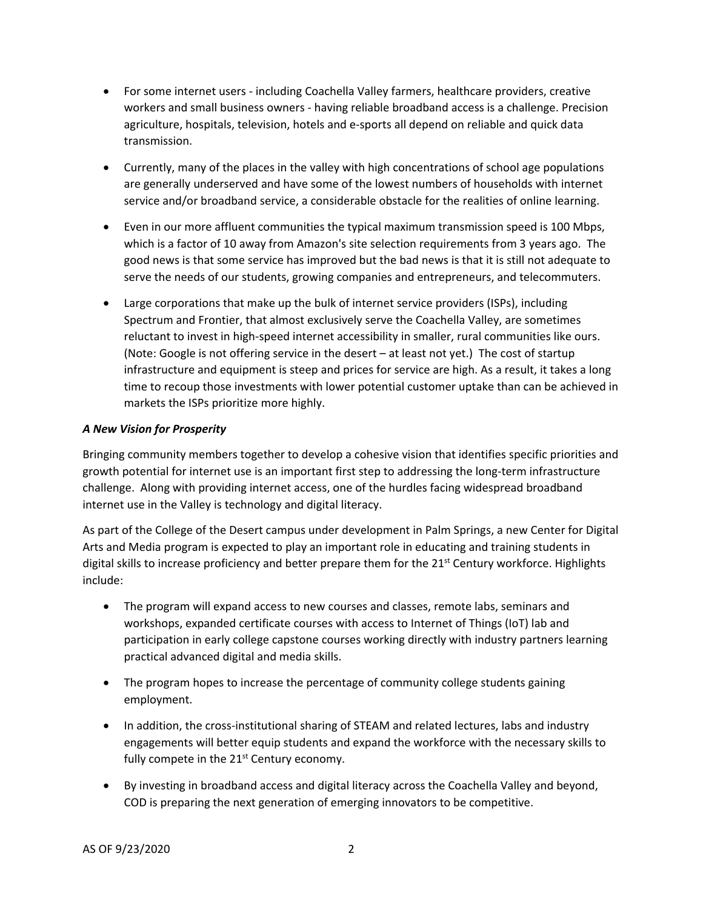- For some internet users ‐ including Coachella Valley farmers, healthcare providers, creative workers and small business owners ‐ having reliable broadband access is a challenge. Precision agriculture, hospitals, television, hotels and e‐sports all depend on reliable and quick data transmission.
- Currently, many of the places in the valley with high concentrations of school age populations are generally underserved and have some of the lowest numbers of households with internet service and/or broadband service, a considerable obstacle for the realities of online learning.
- Even in our more affluent communities the typical maximum transmission speed is 100 Mbps, which is a factor of 10 away from Amazon's site selection requirements from 3 years ago. The good news is that some service has improved but the bad news is that it is still not adequate to serve the needs of our students, growing companies and entrepreneurs, and telecommuters.
- Large corporations that make up the bulk of internet service providers (ISPs), including Spectrum and Frontier, that almost exclusively serve the Coachella Valley, are sometimes reluctant to invest in high-speed internet accessibility in smaller, rural communities like ours. (Note: Google is not offering service in the desert – at least not yet.) The cost of startup infrastructure and equipment is steep and prices for service are high. As a result, it takes a long time to recoup those investments with lower potential customer uptake than can be achieved in markets the ISPs prioritize more highly.

### *A New Vision for Prosperity*

Bringing community members together to develop a cohesive vision that identifies specific priorities and growth potential for internet use is an important first step to addressing the long-term infrastructure challenge. Along with providing internet access, one of the hurdles facing widespread broadband internet use in the Valley is technology and digital literacy.

As part of the College of the Desert campus under development in Palm Springs, a new Center for Digital Arts and Media program is expected to play an important role in educating and training students in digital skills to increase proficiency and better prepare them for the 21<sup>st</sup> Century workforce. Highlights include:

- The program will expand access to new courses and classes, remote labs, seminars and workshops, expanded certificate courses with access to Internet of Things (IoT) lab and participation in early college capstone courses working directly with industry partners learning practical advanced digital and media skills.
- The program hopes to increase the percentage of community college students gaining employment.
- In addition, the cross-institutional sharing of STEAM and related lectures, labs and industry engagements will better equip students and expand the workforce with the necessary skills to fully compete in the 21<sup>st</sup> Century economy.
- By investing in broadband access and digital literacy across the Coachella Valley and beyond, COD is preparing the next generation of emerging innovators to be competitive.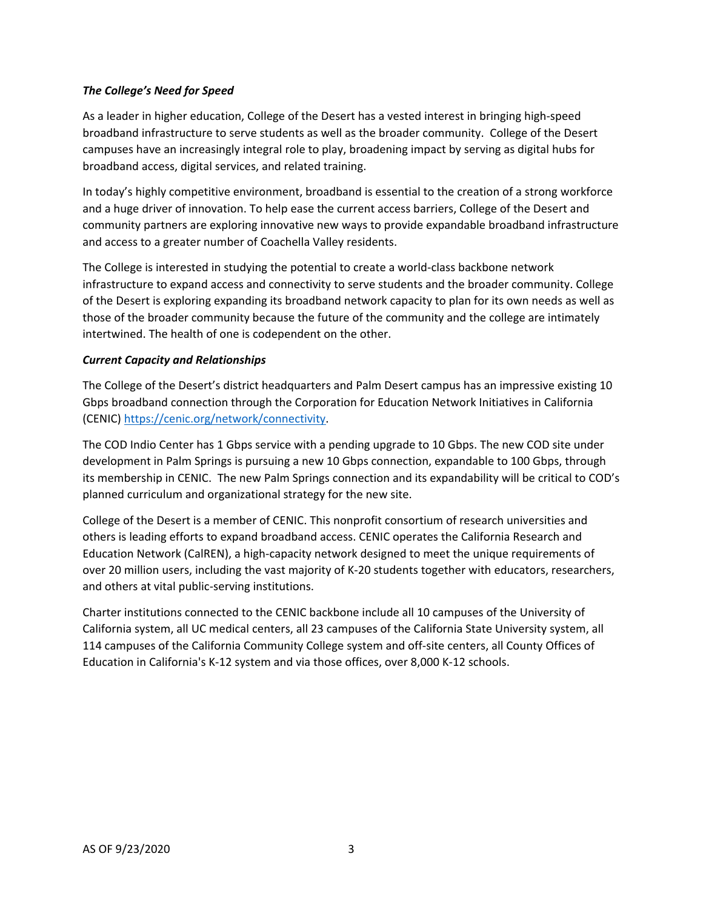### *The College's Need for Speed*

As a leader in higher education, College of the Desert has a vested interest in bringing high‐speed broadband infrastructure to serve students as well as the broader community. College of the Desert campuses have an increasingly integral role to play, broadening impact by serving as digital hubs for broadband access, digital services, and related training.

In today's highly competitive environment, broadband is essential to the creation of a strong workforce and a huge driver of innovation. To help ease the current access barriers, College of the Desert and community partners are exploring innovative new ways to provide expandable broadband infrastructure and access to a greater number of Coachella Valley residents.

The College is interested in studying the potential to create a world‐class backbone network infrastructure to expand access and connectivity to serve students and the broader community. College of the Desert is exploring expanding its broadband network capacity to plan for its own needs as well as those of the broader community because the future of the community and the college are intimately intertwined. The health of one is codependent on the other.

### *Current Capacity and Relationships*

The College of the Desert's district headquarters and Palm Desert campus has an impressive existing 10 Gbps broadband connection through the Corporation for Education Network Initiatives in California (CENIC) https://cenic.org/network/connectivity.

The COD Indio Center has 1 Gbps service with a pending upgrade to 10 Gbps. The new COD site under development in Palm Springs is pursuing a new 10 Gbps connection, expandable to 100 Gbps, through its membership in CENIC. The new Palm Springs connection and its expandability will be critical to COD's planned curriculum and organizational strategy for the new site.

College of the Desert is a member of CENIC. This nonprofit consortium of research universities and others is leading efforts to expand broadband access. CENIC operates the California Research and Education Network (CalREN), a high‐capacity network designed to meet the unique requirements of over 20 million users, including the vast majority of K‐20 students together with educators, researchers, and others at vital public‐serving institutions.

Charter institutions connected to the CENIC backbone include all 10 campuses of the University of California system, all UC medical centers, all 23 campuses of the California State University system, all 114 campuses of the California Community College system and off-site centers, all County Offices of Education in California's K‐12 system and via those offices, over 8,000 K‐12 schools.